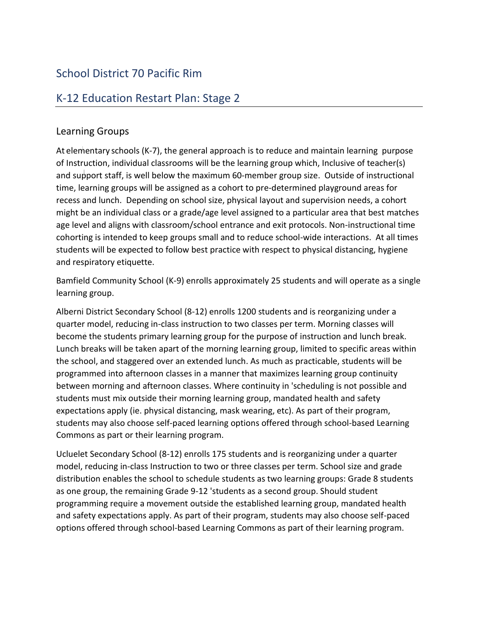## School District 70 Pacific Rim

## K-12 Education Restart Plan: Stage 2

## Learning Groups

At elementary schools (K-7), the general approach is to reduce and maintain learning purpose jof Instruction, individual classrooms will be the learning group which, Inclusive of teacher(s) and support staff, is well below the maximum 60-member group size. Outside of instructional time, learning groups will be assigned as a cohort to pre-determined playground areas for recess and lunch. Depending on school size, physical layout and supervision needs, a cohort might be an individual class or a grade/age level assigned to a particular area that best matches age level and aligns with classroom/school entrance and exit protocols. Non-instructional time cohorting is intended to keep groups small and to reduce school-wide interactions. At all times students will be expected to follow best practice with respect to physical distancing, hygiene and respiratory etiquette.

Bamfield Community School (K-9) enrolls approximately 25 students and will operate as a single learning group.

become the students primary learning group for the purpose of instruction and lunch break. Alberni District Secondary School (8-12) enrolls 1200 students and is reorganizing under a quarter model, reducing in-class instruction to two classes per term. Morning classes will Lunch breaks will be taken apart of the morning learning group, limited to specific areas within the school, and staggered over an extended lunch. As much as practicable, students will be programmed into afternoon classes in a manner that maximizes learning group continuity between morning and afternoon classes. Where continuity in 'scheduling is not possible and students must mix outside their morning learning group, mandated health and safety expectations apply (ie. physical distancing, mask wearing, etc). As part of their program, students may also choose self-paced learning options offered through school-based Learning Commons as part or their learning program.

Ucluelet Secondary School (8-12) enrolls 175 students and is reorganizing under a quarter model, reducing in-class Instruction to two or three classes per term. School size and grade distribution enables the school to schedule students as two learning groups: Grade 8 students as one group, the remaining Grade 9-12 'students as a second group. Should student programming require a movement outside the established learning group, mandated health and safety expectations apply. As part of their program, students may also choose self-paced options offered through school-based Learning Commons as part of their learning program.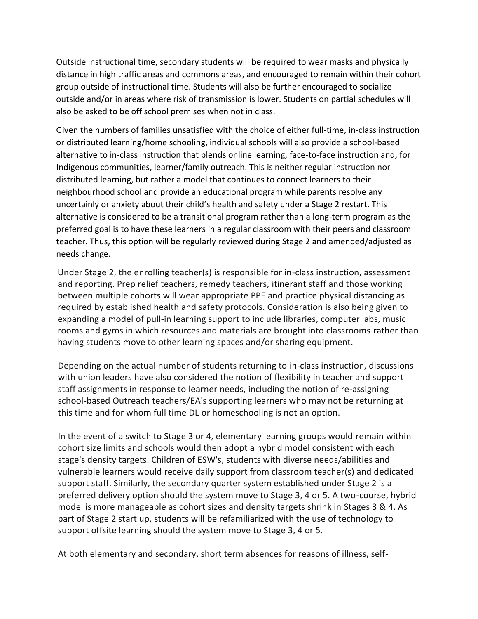Outside instructional time, secondary students will be required to wear masks and physically distance in high traffic areas and commons areas, and encouraged to remain within their cohort group outside of instructional time. Students will also be further encouraged to socialize outside and/or in areas where risk of transmission is lower. Students on partial schedules will also be asked to be off school premises when not in class.

Given the numbers of families unsatisfied with the choice of either full-time, in-class instruction or distributed learning/home schooling, individual schools will also provide a school-based alternative to in-class instruction that blends online learning, face-to-face instruction and, for Indigenous communities, learner/family outreach. This is neither regular instruction nor distributed learning, but rather a model that continues to connect learners to their neighbourhood school and provide an educational program while parents resolve any uncertainly or anxiety about their child's health and safety under a Stage 2 restart. This alternative is considered to be a transitional program rather than a long-term program as the preferred goal is to have these learners in a regular classroom with their peers and classroom teacher. Thus, this option will be regularly reviewed during Stage 2 and amended/adjusted as needs change.

Under Stage 2, the enrolling teacher(s) is responsible for in-class instruction, assessment and reporting. Prep relief teachers, remedy teachers, itinerant staff and those working between multiple cohorts will wear appropriate PPE and practice physical distancing as required by established health and safety protocols. Consideration is also being given to expanding a model of pull-in learning support to include libraries, computer labs, music rooms and gyms in which resources and materials are brought into classrooms rather than having students move to other learning spaces and/or sharing equipment.

Depending on the actual number of students returning to in-class instruction, discussions with union leaders have also considered the notion of flexibility in teacher and support staff assignments in response to learner needs, including the notion of re-assigning school-based Outreach teachers/EA's supporting learners who may not be returning at this time and for whom full time DL or homeschooling is not an option.

In the event of a switch to Stage 3 or 4, elementary learning groups would remain within cohort size limits and schools would then adopt a hybrid model consistent with each stage's density targets. Children of ESW's, students with diverse needs/abilities and vulnerable learners would receive daily support from classroom teacher(s) and dedicated support staff. Similarly, the secondary quarter system established under Stage 2 is a preferred delivery option should the system move to Stage 3, 4 or 5. A two-course, hybrid model is more manageable as cohort sizes and density targets shrink in Stages 3 & 4. As part of Stage 2 start up, students will be refamiliarized with the use of technology to support offsite learning should the system move to Stage 3, 4 or 5.

At both elementary and secondary, short term absences for reasons of illness, self-